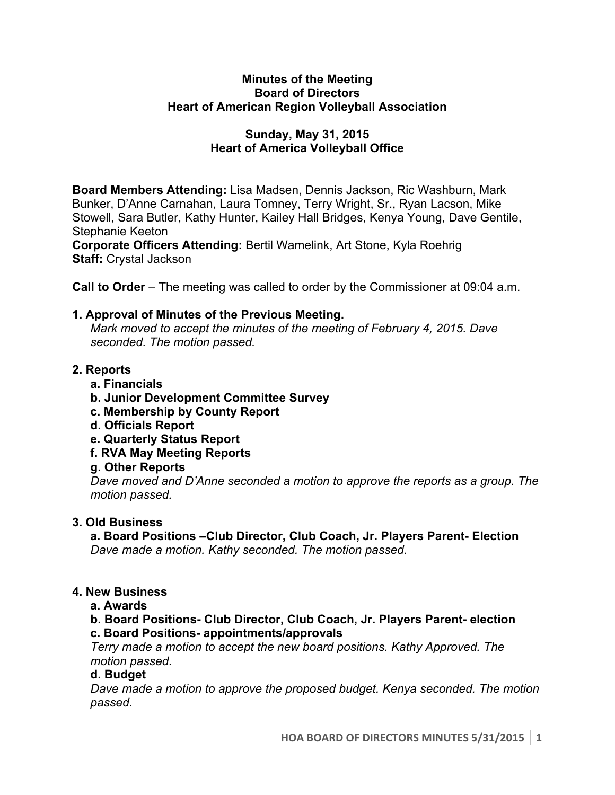#### **Minutes of the Meeting Board of Directors Heart of American Region Volleyball Association**

# **Sunday, May 31, 2015 Heart of America Volleyball Office**

**Board Members Attending:** Lisa Madsen, Dennis Jackson, Ric Washburn, Mark Bunker, D'Anne Carnahan, Laura Tomney, Terry Wright, Sr., Ryan Lacson, Mike Stowell, Sara Butler, Kathy Hunter, Kailey Hall Bridges, Kenya Young, Dave Gentile, Stephanie Keeton

**Corporate Officers Attending:** Bertil Wamelink, Art Stone, Kyla Roehrig **Staff:** Crystal Jackson

**Call to Order** – The meeting was called to order by the Commissioner at 09:04 a.m.

## **1. Approval of Minutes of the Previous Meeting.**

*Mark moved to accept the minutes of the meeting of February 4, 2015. Dave seconded. The motion passed.*

## **2. Reports**

- **a. Financials**
- **b. Junior Development Committee Survey**
- **c. Membership by County Report**
- **d. Officials Report**
- **e. Quarterly Status Report**
- **f. RVA May Meeting Reports**
- **g. Other Reports**

*Dave moved and D'Anne seconded a motion to approve the reports as a group. The motion passed.* 

# **3. Old Business**

**a. Board Positions –Club Director, Club Coach, Jr. Players Parent- Election** *Dave made a motion. Kathy seconded. The motion passed.* 

#### **4. New Business**

**a. Awards**

**b. Board Positions- Club Director, Club Coach, Jr. Players Parent- election c. Board Positions- appointments/approvals**

*Terry made a motion to accept the new board positions. Kathy Approved. The motion passed.*

#### **d. Budget**

*Dave made a motion to approve the proposed budget. Kenya seconded. The motion passed.*